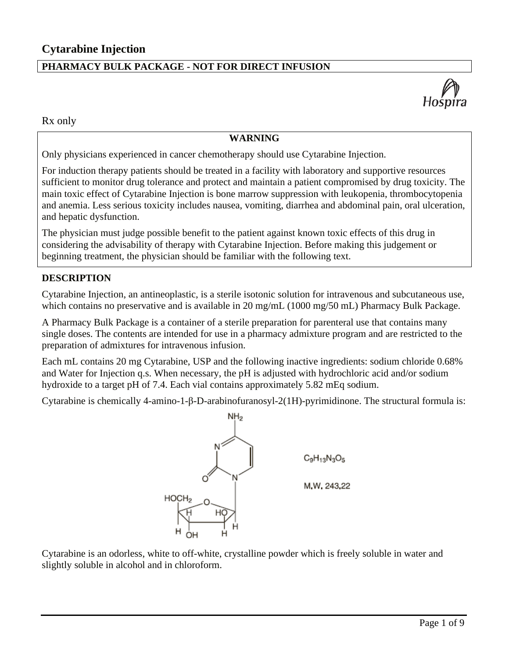# **PHARMACY BULK PACKAGE - NOT FOR DIRECT INFUSION**



Rx only

## **WARNING**

Only physicians experienced in cancer chemotherapy should use Cytarabine Injection.

For induction therapy patients should be treated in a facility with laboratory and supportive resources sufficient to monitor drug tolerance and protect and maintain a patient compromised by drug toxicity. The main toxic effect of Cytarabine Injection is bone marrow suppression with leukopenia, thrombocytopenia and anemia. Less serious toxicity includes nausea, vomiting, diarrhea and abdominal pain, oral ulceration, and hepatic dysfunction.

The physician must judge possible benefit to the patient against known toxic effects of this drug in considering the advisability of therapy with Cytarabine Injection. Before making this judgement or beginning treatment, the physician should be familiar with the following text.

#### **DESCRIPTION**

Cytarabine Injection, an antineoplastic, is a sterile isotonic solution for intravenous and subcutaneous use, which contains no preservative and is available in 20 mg/mL (1000 mg/50 mL) Pharmacy Bulk Package.

A Pharmacy Bulk Package is a container of a sterile preparation for parenteral use that contains many single doses. The contents are intended for use in a pharmacy admixture program and are restricted to the preparation of admixtures for intravenous infusion.

Each mL contains 20 mg Cytarabine, USP and the following inactive ingredients: sodium chloride 0.68% and Water for Injection q.s. When necessary, the pH is adjusted with hydrochloric acid and/or sodium hydroxide to a target pH of 7.4. Each vial contains approximately 5.82 mEq sodium.

Cytarabine is chemically 4-amino-1-β-D-arabinofuranosyl-2(1H)-pyrimidinone. The structural formula is:



Cytarabine is an odorless, white to off-white, crystalline powder which is freely soluble in water and slightly soluble in alcohol and in chloroform.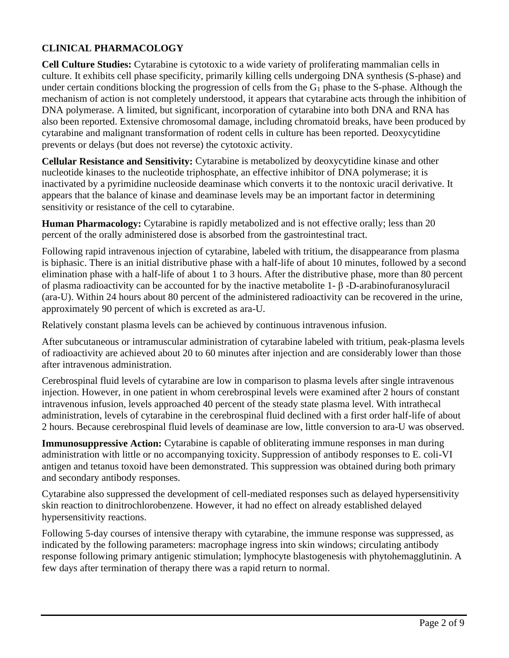# **CLINICAL PHARMACOLOGY**

**Cell Culture Studies:** Cytarabine is cytotoxic to a wide variety of proliferating mammalian cells in culture. It exhibits cell phase specificity, primarily killing cells undergoing DNA synthesis (S-phase) and under certain conditions blocking the progression of cells from the  $G_1$  phase to the S-phase. Although the mechanism of action is not completely understood, it appears that cytarabine acts through the inhibition of DNA polymerase. A limited, but significant, incorporation of cytarabine into both DNA and RNA has also been reported. Extensive chromosomal damage, including chromatoid breaks, have been produced by cytarabine and malignant transformation of rodent cells in culture has been reported. Deoxycytidine prevents or delays (but does not reverse) the cytotoxic activity.

**Cellular Resistance and Sensitivity:** Cytarabine is metabolized by deoxycytidine kinase and other nucleotide kinases to the nucleotide triphosphate, an effective inhibitor of DNA polymerase; it is inactivated by a pyrimidine nucleoside deaminase which converts it to the nontoxic uracil derivative. It appears that the balance of kinase and deaminase levels may be an important factor in determining sensitivity or resistance of the cell to cytarabine.

**Human Pharmacology:** Cytarabine is rapidly metabolized and is not effective orally; less than 20 percent of the orally administered dose is absorbed from the gastrointestinal tract.

Following rapid intravenous injection of cytarabine, labeled with tritium, the disappearance from plasma is biphasic. There is an initial distributive phase with a half-life of about 10 minutes, followed by a second elimination phase with a half-life of about 1 to 3 hours. After the distributive phase, more than 80 percent of plasma radioactivity can be accounted for by the inactive metabolite 1- β -D-arabinofuranosyluracil (ara-U). Within 24 hours about 80 percent of the administered radioactivity can be recovered in the urine, approximately 90 percent of which is excreted as ara-U.

Relatively constant plasma levels can be achieved by continuous intravenous infusion.

After subcutaneous or intramuscular administration of cytarabine labeled with tritium, peak-plasma levels of radioactivity are achieved about 20 to 60 minutes after injection and are considerably lower than those after intravenous administration.

Cerebrospinal fluid levels of cytarabine are low in comparison to plasma levels after single intravenous injection. However, in one patient in whom cerebrospinal levels were examined after 2 hours of constant intravenous infusion, levels approached 40 percent of the steady state plasma level. With intrathecal administration, levels of cytarabine in the cerebrospinal fluid declined with a first order half-life of about 2 hours. Because cerebrospinal fluid levels of deaminase are low, little conversion to ara-U was observed.

**Immunosuppressive Action:** Cytarabine is capable of obliterating immune responses in man during administration with little or no accompanying toxicity. Suppression of antibody responses to E. coli-VI antigen and tetanus toxoid have been demonstrated. This suppression was obtained during both primary and secondary antibody responses.

Cytarabine also suppressed the development of cell-mediated responses such as delayed hypersensitivity skin reaction to dinitrochlorobenzene. However, it had no effect on already established delayed hypersensitivity reactions.

Following 5-day courses of intensive therapy with cytarabine, the immune response was suppressed, as indicated by the following parameters: macrophage ingress into skin windows; circulating antibody response following primary antigenic stimulation; lymphocyte blastogenesis with phytohemagglutinin. A few days after termination of therapy there was a rapid return to normal.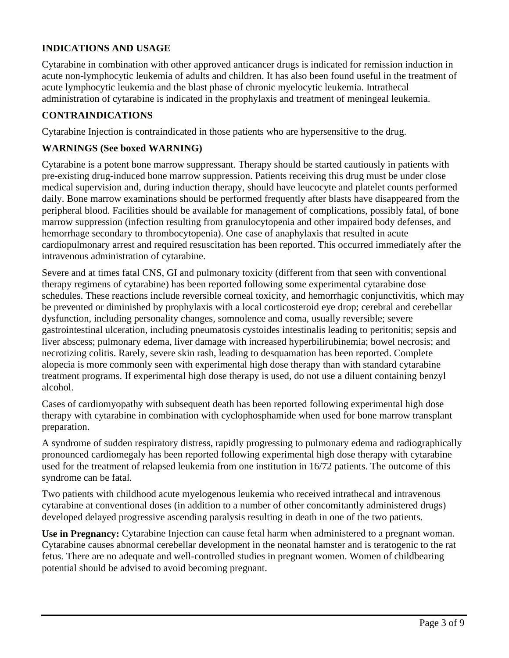# **INDICATIONS AND USAGE**

Cytarabine in combination with other approved anticancer drugs is indicated for remission induction in acute non-lymphocytic leukemia of adults and children. It has also been found useful in the treatment of acute lymphocytic leukemia and the blast phase of chronic myelocytic leukemia. Intrathecal administration of cytarabine is indicated in the prophylaxis and treatment of meningeal leukemia.

### **CONTRAINDICATIONS**

Cytarabine Injection is contraindicated in those patients who are hypersensitive to the drug.

### **WARNINGS (See boxed WARNING)**

Cytarabine is a potent bone marrow suppressant. Therapy should be started cautiously in patients with pre-existing drug-induced bone marrow suppression. Patients receiving this drug must be under close medical supervision and, during induction therapy, should have leucocyte and platelet counts performed daily. Bone marrow examinations should be performed frequently after blasts have disappeared from the peripheral blood. Facilities should be available for management of complications, possibly fatal, of bone marrow suppression (infection resulting from granulocytopenia and other impaired body defenses, and hemorrhage secondary to thrombocytopenia). One case of anaphylaxis that resulted in acute cardiopulmonary arrest and required resuscitation has been reported. This occurred immediately after the intravenous administration of cytarabine.

Severe and at times fatal CNS, GI and pulmonary toxicity (different from that seen with conventional therapy regimens of cytarabine) has been reported following some experimental cytarabine dose schedules. These reactions include reversible corneal toxicity, and hemorrhagic conjunctivitis, which may be prevented or diminished by prophylaxis with a local corticosteroid eye drop; cerebral and cerebellar dysfunction, including personality changes, somnolence and coma, usually reversible; severe gastrointestinal ulceration, including pneumatosis cystoides intestinalis leading to peritonitis; sepsis and liver abscess; pulmonary edema, liver damage with increased hyperbilirubinemia; bowel necrosis; and necrotizing colitis. Rarely, severe skin rash, leading to desquamation has been reported. Complete alopecia is more commonly seen with experimental high dose therapy than with standard cytarabine treatment programs. If experimental high dose therapy is used, do not use a diluent containing benzyl alcohol.

Cases of cardiomyopathy with subsequent death has been reported following experimental high dose therapy with cytarabine in combination with cyclophosphamide when used for bone marrow transplant preparation.

A syndrome of sudden respiratory distress, rapidly progressing to pulmonary edema and radiographically pronounced cardiomegaly has been reported following experimental high dose therapy with cytarabine used for the treatment of relapsed leukemia from one institution in 16/72 patients. The outcome of this syndrome can be fatal.

Two patients with childhood acute myelogenous leukemia who received intrathecal and intravenous cytarabine at conventional doses (in addition to a number of other concomitantly administered drugs) developed delayed progressive ascending paralysis resulting in death in one of the two patients.

**Use in Pregnancy:** Cytarabine Injection can cause fetal harm when administered to a pregnant woman. Cytarabine causes abnormal cerebellar development in the neonatal hamster and is teratogenic to the rat fetus. There are no adequate and well-controlled studies in pregnant women. Women of childbearing potential should be advised to avoid becoming pregnant.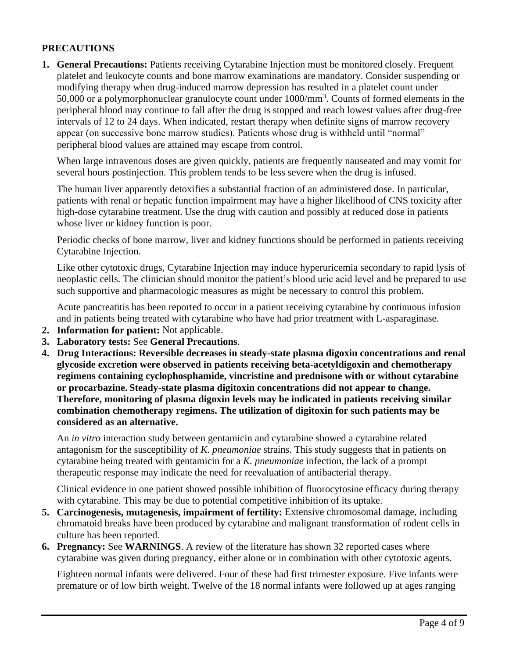# **PRECAUTIONS**

**1. General Precautions:** Patients receiving Cytarabine Injection must be monitored closely. Frequent platelet and leukocyte counts and bone marrow examinations are mandatory. Consider suspending or modifying therapy when drug-induced marrow depression has resulted in a platelet count under 50,000 or a polymorphonuclear granulocyte count under  $1000/\text{mm}^3$ . Counts of formed elements in the peripheral blood may continue to fall after the drug is stopped and reach lowest values after drug-free intervals of 12 to 24 days. When indicated, restart therapy when definite signs of marrow recovery appear (on successive bone marrow studies). Patients whose drug is withheld until "normal" peripheral blood values are attained may escape from control.

When large intravenous doses are given quickly, patients are frequently nauseated and may vomit for several hours postinjection. This problem tends to be less severe when the drug is infused.

The human liver apparently detoxifies a substantial fraction of an administered dose. In particular, patients with renal or hepatic function impairment may have a higher likelihood of CNS toxicity after high-dose cytarabine treatment. Use the drug with caution and possibly at reduced dose in patients whose liver or kidney function is poor.

Periodic checks of bone marrow, liver and kidney functions should be performed in patients receiving Cytarabine Injection.

Like other cytotoxic drugs, Cytarabine Injection may induce hyperuricemia secondary to rapid lysis of neoplastic cells. The clinician should monitor the patient's blood uric acid level and be prepared to use such supportive and pharmacologic measures as might be necessary to control this problem.

Acute pancreatitis has been reported to occur in a patient receiving cytarabine by continuous infusion and in patients being treated with cytarabine who have had prior treatment with L-asparaginase.

- **2. Information for patient:** Not applicable.
- **3. Laboratory tests:** See **General Precautions**.
- **4. Drug Interactions: Reversible decreases in steady-state plasma digoxin concentrations and renal glycoside excretion were observed in patients receiving beta-acetyldigoxin and chemotherapy regimens containing cyclophosphamide, vincristine and prednisone with or without cytarabine or procarbazine. Steady-state plasma digitoxin concentrations did not appear to change. Therefore, monitoring of plasma digoxin levels may be indicated in patients receiving similar combination chemotherapy regimens. The utilization of digitoxin for such patients may be considered as an alternative.**

An *in vitro* interaction study between gentamicin and cytarabine showed a cytarabine related antagonism for the susceptibility of *K. pneumoniae* strains. This study suggests that in patients on cytarabine being treated with gentamicin for a *K. pneumoniae* infection, the lack of a prompt therapeutic response may indicate the need for reevaluation of antibacterial therapy.

Clinical evidence in one patient showed possible inhibition of fluorocytosine efficacy during therapy with cytarabine. This may be due to potential competitive inhibition of its uptake.

- **5. Carcinogenesis, mutagenesis, impairment of fertility:** Extensive chromosomal damage, including chromatoid breaks have been produced by cytarabine and malignant transformation of rodent cells in culture has been reported.
- **6. Pregnancy:** See **WARNINGS**. A review of the literature has shown 32 reported cases where cytarabine was given during pregnancy, either alone or in combination with other cytotoxic agents.

Eighteen normal infants were delivered. Four of these had first trimester exposure. Five infants were premature or of low birth weight. Twelve of the 18 normal infants were followed up at ages ranging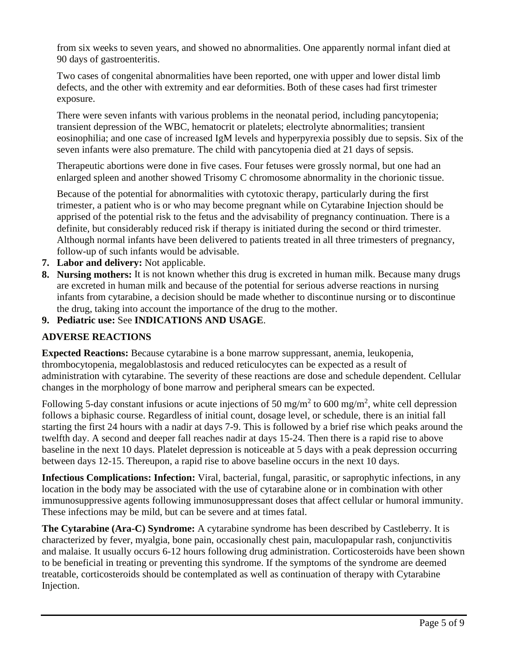from six weeks to seven years, and showed no abnormalities. One apparently normal infant died at 90 days of gastroenteritis.

Two cases of congenital abnormalities have been reported, one with upper and lower distal limb defects, and the other with extremity and ear deformities. Both of these cases had first trimester exposure.

There were seven infants with various problems in the neonatal period, including pancytopenia; transient depression of the WBC, hematocrit or platelets; electrolyte abnormalities; transient eosinophilia; and one case of increased IgM levels and hyperpyrexia possibly due to sepsis. Six of the seven infants were also premature. The child with pancytopenia died at 21 days of sepsis.

Therapeutic abortions were done in five cases. Four fetuses were grossly normal, but one had an enlarged spleen and another showed Trisomy C chromosome abnormality in the chorionic tissue.

Because of the potential for abnormalities with cytotoxic therapy, particularly during the first trimester, a patient who is or who may become pregnant while on Cytarabine Injection should be apprised of the potential risk to the fetus and the advisability of pregnancy continuation. There is a definite, but considerably reduced risk if therapy is initiated during the second or third trimester. Although normal infants have been delivered to patients treated in all three trimesters of pregnancy, follow-up of such infants would be advisable.

- **7. Labor and delivery:** Not applicable.
- **8. Nursing mothers:** It is not known whether this drug is excreted in human milk. Because many drugs are excreted in human milk and because of the potential for serious adverse reactions in nursing infants from cytarabine, a decision should be made whether to discontinue nursing or to discontinue the drug, taking into account the importance of the drug to the mother.
- **9. Pediatric use:** See **INDICATIONS AND USAGE**.

### **ADVERSE REACTIONS**

**Expected Reactions:** Because cytarabine is a bone marrow suppressant, anemia, leukopenia, thrombocytopenia, megaloblastosis and reduced reticulocytes can be expected as a result of administration with cytarabine. The severity of these reactions are dose and schedule dependent. Cellular changes in the morphology of bone marrow and peripheral smears can be expected.

Following 5-day constant infusions or acute injections of 50 mg/m<sup>2</sup> to 600 mg/m<sup>2</sup>, white cell depression follows a biphasic course. Regardless of initial count, dosage level, or schedule, there is an initial fall starting the first 24 hours with a nadir at days 7-9. This is followed by a brief rise which peaks around the twelfth day. A second and deeper fall reaches nadir at days 15-24. Then there is a rapid rise to above baseline in the next 10 days. Platelet depression is noticeable at 5 days with a peak depression occurring between days 12-15. Thereupon, a rapid rise to above baseline occurs in the next 10 days.

**Infectious Complications: Infection:** Viral, bacterial, fungal, parasitic, or saprophytic infections, in any location in the body may be associated with the use of cytarabine alone or in combination with other immunosuppressive agents following immunosuppressant doses that affect cellular or humoral immunity. These infections may be mild, but can be severe and at times fatal.

**The Cytarabine (Ara-C) Syndrome:** A cytarabine syndrome has been described by Castleberry. It is characterized by fever, myalgia, bone pain, occasionally chest pain, maculopapular rash, conjunctivitis and malaise. It usually occurs 6-12 hours following drug administration. Corticosteroids have been shown to be beneficial in treating or preventing this syndrome. If the symptoms of the syndrome are deemed treatable, corticosteroids should be contemplated as well as continuation of therapy with Cytarabine Injection.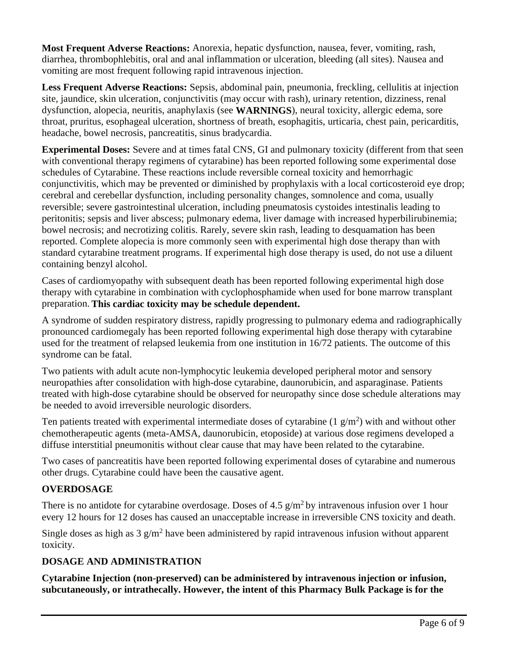**Most Frequent Adverse Reactions:** Anorexia, hepatic dysfunction, nausea, fever, vomiting, rash, diarrhea, thrombophlebitis, oral and anal inflammation or ulceration, bleeding (all sites). Nausea and vomiting are most frequent following rapid intravenous injection.

**Less Frequent Adverse Reactions:** Sepsis, abdominal pain, pneumonia, freckling, cellulitis at injection site, jaundice, skin ulceration, conjunctivitis (may occur with rash), urinary retention, dizziness, renal dysfunction, alopecia, neuritis, anaphylaxis (see **WARNINGS**), neural toxicity, allergic edema, sore throat, pruritus, esophageal ulceration, shortness of breath, esophagitis, urticaria, chest pain, pericarditis, headache, bowel necrosis, pancreatitis, sinus bradycardia.

**Experimental Doses:** Severe and at times fatal CNS, GI and pulmonary toxicity (different from that seen with conventional therapy regimens of cytarabine) has been reported following some experimental dose schedules of Cytarabine. These reactions include reversible corneal toxicity and hemorrhagic conjunctivitis, which may be prevented or diminished by prophylaxis with a local corticosteroid eye drop; cerebral and cerebellar dysfunction, including personality changes, somnolence and coma, usually reversible; severe gastrointestinal ulceration, including pneumatosis cystoides intestinalis leading to peritonitis; sepsis and liver abscess; pulmonary edema, liver damage with increased hyperbilirubinemia; bowel necrosis; and necrotizing colitis. Rarely, severe skin rash, leading to desquamation has been reported. Complete alopecia is more commonly seen with experimental high dose therapy than with standard cytarabine treatment programs. If experimental high dose therapy is used, do not use a diluent containing benzyl alcohol.

Cases of cardiomyopathy with subsequent death has been reported following experimental high dose therapy with cytarabine in combination with cyclophosphamide when used for bone marrow transplant preparation. **This cardiac toxicity may be schedule dependent.**

A syndrome of sudden respiratory distress, rapidly progressing to pulmonary edema and radiographically pronounced cardiomegaly has been reported following experimental high dose therapy with cytarabine used for the treatment of relapsed leukemia from one institution in 16/72 patients. The outcome of this syndrome can be fatal.

Two patients with adult acute non-lymphocytic leukemia developed peripheral motor and sensory neuropathies after consolidation with high-dose cytarabine, daunorubicin, and asparaginase. Patients treated with high-dose cytarabine should be observed for neuropathy since dose schedule alterations may be needed to avoid irreversible neurologic disorders.

Ten patients treated with experimental intermediate doses of cytarabine  $(1 g/m<sup>2</sup>)$  with and without other chemotherapeutic agents (meta-AMSA, daunorubicin, etoposide) at various dose regimens developed a diffuse interstitial pneumonitis without clear cause that may have been related to the cytarabine.

Two cases of pancreatitis have been reported following experimental doses of cytarabine and numerous other drugs. Cytarabine could have been the causative agent.

# **OVERDOSAGE**

There is no antidote for cytarabine overdosage. Doses of 4.5  $g/m^2$  by intravenous infusion over 1 hour every 12 hours for 12 doses has caused an unacceptable increase in irreversible CNS toxicity and death.

Single doses as high as  $3 \frac{g}{m^2}$  have been administered by rapid intravenous infusion without apparent toxicity.

# **DOSAGE AND ADMINISTRATION**

**Cytarabine Injection (non-preserved) can be administered by intravenous injection or infusion, subcutaneously, or intrathecally. However, the intent of this Pharmacy Bulk Package is for the**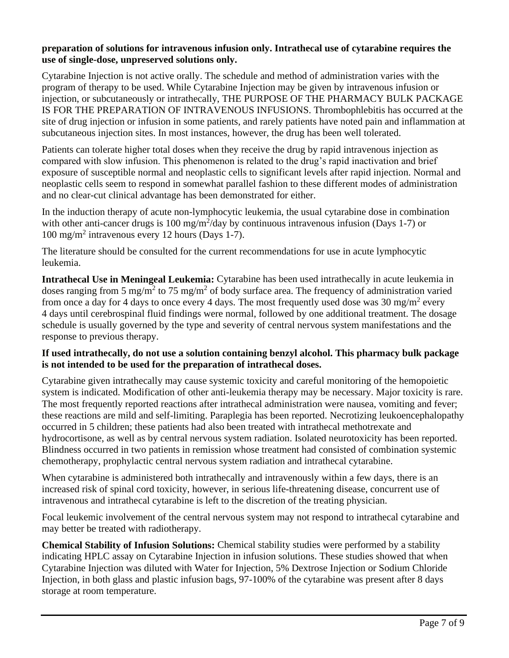### **preparation of solutions for intravenous infusion only. Intrathecal use of cytarabine requires the use of single-dose, unpreserved solutions only.**

Cytarabine Injection is not active orally. The schedule and method of administration varies with the program of therapy to be used. While Cytarabine Injection may be given by intravenous infusion or injection, or subcutaneously or intrathecally, THE PURPOSE OF THE PHARMACY BULK PACKAGE IS FOR THE PREPARATION OF INTRAVENOUS INFUSIONS. Thrombophlebitis has occurred at the site of drug injection or infusion in some patients, and rarely patients have noted pain and inflammation at subcutaneous injection sites. In most instances, however, the drug has been well tolerated.

Patients can tolerate higher total doses when they receive the drug by rapid intravenous injection as compared with slow infusion. This phenomenon is related to the drug's rapid inactivation and brief exposure of susceptible normal and neoplastic cells to significant levels after rapid injection. Normal and neoplastic cells seem to respond in somewhat parallel fashion to these different modes of administration and no clear-cut clinical advantage has been demonstrated for either.

In the induction therapy of acute non-lymphocytic leukemia, the usual cytarabine dose in combination with other anti-cancer drugs is 100 mg/m<sup>2</sup>/day by continuous intravenous infusion (Days 1-7) or 100 mg/m<sup>2</sup> intravenous every 12 hours (Days 1-7).

The literature should be consulted for the current recommendations for use in acute lymphocytic leukemia.

**Intrathecal Use in Meningeal Leukemia:** Cytarabine has been used intrathecally in acute leukemia in doses ranging from 5 mg/m<sup>2</sup> to 75 mg/m<sup>2</sup> of body surface area. The frequency of administration varied from once a day for 4 days to once every 4 days. The most frequently used dose was 30 mg/m<sup>2</sup> every 4 days until cerebrospinal fluid findings were normal, followed by one additional treatment. The dosage schedule is usually governed by the type and severity of central nervous system manifestations and the response to previous therapy.

### **If used intrathecally, do not use a solution containing benzyl alcohol. This pharmacy bulk package is not intended to be used for the preparation of intrathecal doses.**

Cytarabine given intrathecally may cause systemic toxicity and careful monitoring of the hemopoietic system is indicated. Modification of other anti-leukemia therapy may be necessary. Major toxicity is rare. The most frequently reported reactions after intrathecal administration were nausea, vomiting and fever; these reactions are mild and self-limiting. Paraplegia has been reported. Necrotizing leukoencephalopathy occurred in 5 children; these patients had also been treated with intrathecal methotrexate and hydrocortisone, as well as by central nervous system radiation. Isolated neurotoxicity has been reported. Blindness occurred in two patients in remission whose treatment had consisted of combination systemic chemotherapy, prophylactic central nervous system radiation and intrathecal cytarabine.

When cytarabine is administered both intrathecally and intravenously within a few days, there is an increased risk of spinal cord toxicity, however, in serious life-threatening disease, concurrent use of intravenous and intrathecal cytarabine is left to the discretion of the treating physician.

Focal leukemic involvement of the central nervous system may not respond to intrathecal cytarabine and may better be treated with radiotherapy.

**Chemical Stability of Infusion Solutions:** Chemical stability studies were performed by a stability indicating HPLC assay on Cytarabine Injection in infusion solutions. These studies showed that when Cytarabine Injection was diluted with Water for Injection, 5% Dextrose Injection or Sodium Chloride Injection, in both glass and plastic infusion bags, 97-100% of the cytarabine was present after 8 days storage at room temperature.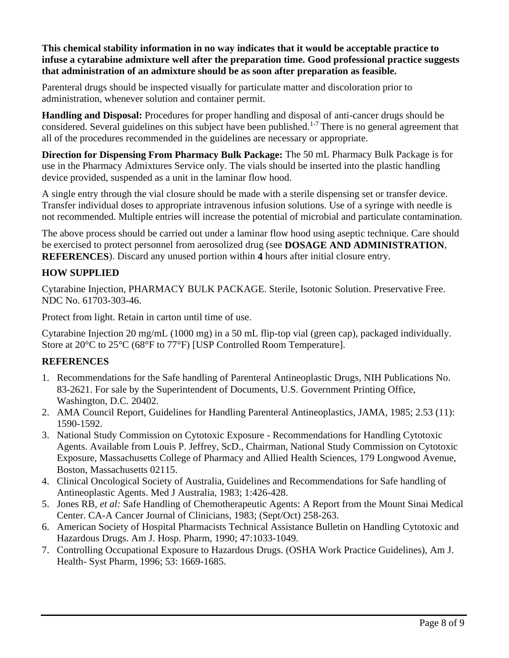**This chemical stability information in no way indicates that it would be acceptable practice to infuse a cytarabine admixture well after the preparation time. Good professional practice suggests that administration of an admixture should be as soon after preparation as feasible.**

Parenteral drugs should be inspected visually for particulate matter and discoloration prior to administration, whenever solution and container permit.

**Handling and Disposal:** Procedures for proper handling and disposal of anti-cancer drugs should be considered. Several guidelines on this subject have been published.<sup>1-7</sup> There is no general agreement that all of the procedures recommended in the guidelines are necessary or appropriate.

**Direction for Dispensing From Pharmacy Bulk Package:** The 50 mL Pharmacy Bulk Package is for use in the Pharmacy Admixtures Service only. The vials should be inserted into the plastic handling device provided, suspended as a unit in the laminar flow hood.

A single entry through the vial closure should be made with a sterile dispensing set or transfer device. Transfer individual doses to appropriate intravenous infusion solutions. Use of a syringe with needle is not recommended. Multiple entries will increase the potential of microbial and particulate contamination.

The above process should be carried out under a laminar flow hood using aseptic technique. Care should be exercised to protect personnel from aerosolized drug (see **DOSAGE AND ADMINISTRATION**, **REFERENCES**). Discard any unused portion within **4** hours after initial closure entry.

# **HOW SUPPLIED**

Cytarabine Injection, PHARMACY BULK PACKAGE. Sterile, Isotonic Solution. Preservative Free. NDC No. 61703-303-46.

Protect from light. Retain in carton until time of use.

Cytarabine Injection 20 mg/mL (1000 mg) in a 50 mL flip-top vial (green cap), packaged individually. Store at 20°C to 25°C (68°F to 77°F) [USP Controlled Room Temperature].

# **REFERENCES**

- 1. Recommendations for the Safe handling of Parenteral Antineoplastic Drugs, NIH Publications No. 83-2621. For sale by the Superintendent of Documents, U.S. Government Printing Office, Washington, D.C. 20402.
- 2. AMA Council Report, Guidelines for Handling Parenteral Antineoplastics, JAMA, 1985; 2.53 (11): 1590-1592.
- 3. National Study Commission on Cytotoxic Exposure Recommendations for Handling Cytotoxic Agents. Available from Louis P. Jeffrey, ScD., Chairman, National Study Commission on Cytotoxic Exposure, Massachusetts College of Pharmacy and Allied Health Sciences, 179 Longwood Avenue, Boston, Massachusetts 02115.
- 4. Clinical Oncological Society of Australia, Guidelines and Recommendations for Safe handling of Antineoplastic Agents. Med J Australia, 1983; 1:426-428.
- 5. Jones RB, *et al:* Safe Handling of Chemotherapeutic Agents: A Report from the Mount Sinai Medical Center. CA-A Cancer Journal of Clinicians, 1983; (Sept/Oct) 258-263.
- 6. American Society of Hospital Pharmacists Technical Assistance Bulletin on Handling Cytotoxic and Hazardous Drugs. Am J. Hosp. Pharm, 1990; 47:1033-1049.
- 7. Controlling Occupational Exposure to Hazardous Drugs. (OSHA Work Practice Guidelines), Am J. Health- Syst Pharm, 1996; 53: 1669-1685.